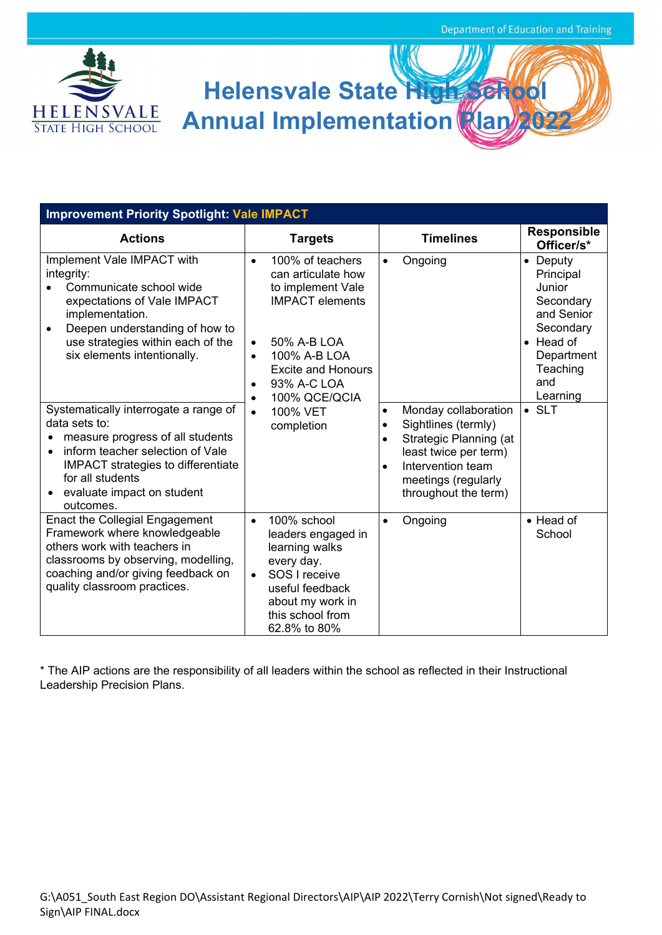

## **Helensvale State High School Annual Implementation Plan**

| <b>Improvement Priority Spotlight: Vale IMPACT</b>                                                                                                                                                                                                        |                                                                                                                                                                                                                                                    |                                                                                                                                                                                                                        |                                                                                                                                           |  |  |  |
|-----------------------------------------------------------------------------------------------------------------------------------------------------------------------------------------------------------------------------------------------------------|----------------------------------------------------------------------------------------------------------------------------------------------------------------------------------------------------------------------------------------------------|------------------------------------------------------------------------------------------------------------------------------------------------------------------------------------------------------------------------|-------------------------------------------------------------------------------------------------------------------------------------------|--|--|--|
| <b>Actions</b>                                                                                                                                                                                                                                            | <b>Targets</b>                                                                                                                                                                                                                                     | <b>Timelines</b>                                                                                                                                                                                                       | <b>Responsible</b><br>Officer/s*                                                                                                          |  |  |  |
| Implement Vale IMPACT with<br>integrity:<br>Communicate school wide<br>expectations of Vale IMPACT<br>implementation.<br>Deepen understanding of how to<br>$\bullet$<br>use strategies within each of the<br>six elements intentionally.                  | 100% of teachers<br>$\bullet$<br>can articulate how<br>to implement Vale<br><b>IMPACT</b> elements<br>50% A-B LOA<br>$\bullet$<br>100% A-B LOA<br>$\bullet$<br><b>Excite and Honours</b><br>93% A-C LOA<br>$\bullet$<br>100% QCE/QCIA<br>$\bullet$ | Ongoing<br>$\bullet$                                                                                                                                                                                                   | • Deputy<br>Principal<br>Junior<br>Secondary<br>and Senior<br>Secondary<br>$\bullet$ Head of<br>Department<br>Teaching<br>and<br>Learning |  |  |  |
| Systematically interrogate a range of<br>data sets to:<br>measure progress of all students<br>inform teacher selection of Vale<br>$\bullet$<br><b>IMPACT</b> strategies to differentiate<br>for all students<br>• evaluate impact on student<br>outcomes. | 100% VET<br>$\bullet$<br>completion                                                                                                                                                                                                                | Monday collaboration<br>$\bullet$<br>Sightlines (termly)<br>$\bullet$<br>Strategic Planning (at<br>$\bullet$<br>least twice per term)<br>Intervention team<br>$\bullet$<br>meetings (regularly<br>throughout the term) | $\bullet$ SLT                                                                                                                             |  |  |  |
| <b>Enact the Collegial Engagement</b><br>Framework where knowledgeable<br>others work with teachers in<br>classrooms by observing, modelling,<br>coaching and/or giving feedback on<br>quality classroom practices.                                       | 100% school<br>$\bullet$<br>leaders engaged in<br>learning walks<br>every day.<br>SOS I receive<br>$\bullet$<br>useful feedback<br>about my work in<br>this school from<br>62.8% to 80%                                                            | Ongoing<br>$\bullet$                                                                                                                                                                                                   | • Head of<br>School                                                                                                                       |  |  |  |

\* The AIP actions are the responsibility of all leaders within the school as reflected in their Instructional Leadership Precision Plans.